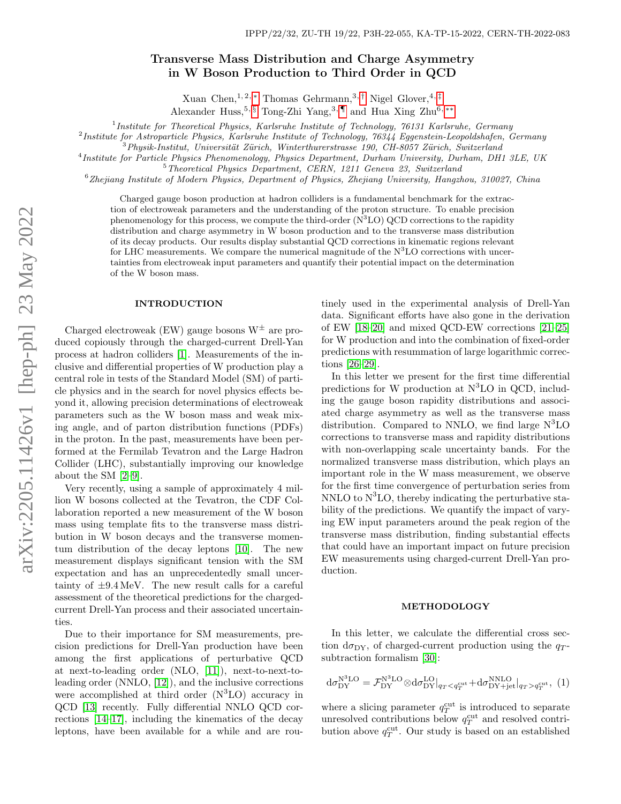# Transverse Mass Distribution and Charge Asymmetry in W Boson Production to Third Order in QCD

Xuan Chen, <sup>1, 2, \*</sup> Thomas Gehrmann,<sup>3,[†](#page-4-1)</sup> Nigel Glover, <sup>4,[‡](#page-4-2)</sup>

Alexander Huss,<sup>5, [§](#page-4-3)</sup> Tong-Zhi Yang,<sup>3, [¶](#page-4-4)</sup> and Hua Xing Zhu<sup>6,\*\*</sup>

<sup>1</sup> Institute for Theoretical Physics, Karlsruhe Institute of Technology, 76131 Karlsruhe, Germany

<sup>2</sup>Institute for Astroparticle Physics, Karlsruhe Institute of Technology, 76344 Eggenstein-Leopoldshafen, Germany

 $3$ Physik-Institut, Universität Zürich, Winterthurerstrasse 190, CH-8057 Zürich, Switzerland

4 Institute for Particle Physics Phenomenology, Physics Department, Durham University, Durham, DH1 3LE, UK

<sup>5</sup>Theoretical Physics Department, CERN, 1211 Geneva 23, Switzerland

<sup>6</sup>Zhejiang Institute of Modern Physics, Department of Physics, Zhejiang University, Hangzhou, 310027, China

Charged gauge boson production at hadron colliders is a fundamental benchmark for the extraction of electroweak parameters and the understanding of the proton structure. To enable precision phenomenology for this process, we compute the third-order  $(N<sup>3</sup>LO)$  QCD corrections to the rapidity distribution and charge asymmetry in W boson production and to the transverse mass distribution of its decay products. Our results display substantial QCD corrections in kinematic regions relevant for LHC measurements. We compare the numerical magnitude of the  $N<sup>3</sup>LO$  corrections with uncertainties from electroweak input parameters and quantify their potential impact on the determination of the W boson mass.

## INTRODUCTION

Charged electroweak (EW) gauge bosons  $W^{\pm}$  are produced copiously through the charged-current Drell-Yan process at hadron colliders [\[1\]](#page-4-6). Measurements of the inclusive and differential properties of W production play a central role in tests of the Standard Model (SM) of particle physics and in the search for novel physics effects beyond it, allowing precision determinations of electroweak parameters such as the W boson mass and weak mixing angle, and of parton distribution functions (PDFs) in the proton. In the past, measurements have been performed at the Fermilab Tevatron and the Large Hadron Collider (LHC), substantially improving our knowledge about the SM [\[2](#page-4-7)[–9\]](#page-4-8).

Very recently, using a sample of approximately 4 million W bosons collected at the Tevatron, the CDF Collaboration reported a new measurement of the W boson mass using template fits to the transverse mass distribution in W boson decays and the transverse momentum distribution of the decay leptons [\[10\]](#page-4-9). The new measurement displays significant tension with the SM expectation and has an unprecedentedly small uncertainty of  $\pm 9.4 \,\text{MeV}$ . The new result calls for a careful assessment of the theoretical predictions for the chargedcurrent Drell-Yan process and their associated uncertainties.

Due to their importance for SM measurements, precision predictions for Drell-Yan production have been among the first applications of perturbative QCD at next-to-leading order (NLO, [\[11\]](#page-4-10)), next-to-next-toleading order (NNLO, [\[12\]](#page-4-11)), and the inclusive corrections were accomplished at third order  $(N^3LO)$  accuracy in QCD [\[13\]](#page-4-12) recently. Fully differential NNLO QCD corrections [\[14](#page-4-13)[–17\]](#page-4-14), including the kinematics of the decay leptons, have been available for a while and are routinely used in the experimental analysis of Drell-Yan data. Significant efforts have also gone in the derivation of EW [\[18](#page-4-15)[–20\]](#page-4-16) and mixed QCD-EW corrections [\[21](#page-4-17)[–25\]](#page-4-18) for W production and into the combination of fixed-order predictions with resummation of large logarithmic corrections [\[26](#page-4-19)[–29\]](#page-4-20).

In this letter we present for the first time differential predictions for W production at  $N<sup>3</sup>LO$  in QCD, including the gauge boson rapidity distributions and associated charge asymmetry as well as the transverse mass distribution. Compared to NNLO, we find large  $N<sup>3</sup>LO$ corrections to transverse mass and rapidity distributions with non-overlapping scale uncertainty bands. For the normalized transverse mass distribution, which plays an important role in the W mass measurement, we observe for the first time convergence of perturbation series from NNLO to  $N<sup>3</sup>LO$ , thereby indicating the perturbative stability of the predictions. We quantify the impact of varying EW input parameters around the peak region of the transverse mass distribution, finding substantial effects that could have an important impact on future precision EW measurements using charged-current Drell-Yan production.

#### METHODOLOGY

In this letter, we calculate the differential cross section  $d\sigma_{DY}$ , of charged-current production using the  $q_T$ subtraction formalism [\[30\]](#page-4-21):

<span id="page-0-0"></span>
$$
d\sigma_{DY}^{N^3LO} = \mathcal{F}_{DY}^{N^3LO} \otimes d\sigma_{DY}^{LO}|_{q_T < q_T^{cut}} + d\sigma_{DY+jet}^{NNLO}|_{q_T > q_T^{cut}}, (1)
$$

where a slicing parameter  $q_T^{\text{cut}}$  is introduced to separate unresolved contributions below  $q_T^{\text{cut}}$  and resolved contribution above  $q_T^{\text{cut}}$ . Our study is based on an established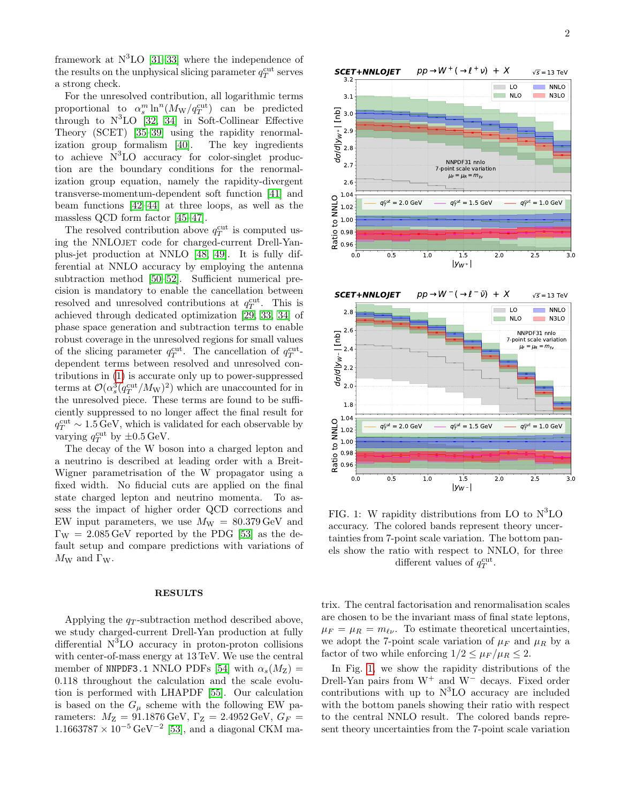framework at  $N^3LO$  [\[31](#page-4-22)[–33\]](#page-5-0) where the independence of the results on the unphysical slicing parameter  $q_T^{\text{cut}}$  serves a strong check.

For the unresolved contribution, all logarithmic terms proportional to  $\alpha_s^m \ln^n(M_W/q_T^{\text{cut}})$  can be predicted through to  $N<sup>3</sup>LO$  [\[32,](#page-4-23) [34\]](#page-5-1) in Soft-Collinear Effective Theory (SCET) [\[35](#page-5-2)[–39\]](#page-5-3) using the rapidity renormalization group formalism [\[40\]](#page-5-4). The key ingredients to achieve  $N<sup>3</sup>LO$  accuracy for color-singlet production are the boundary conditions for the renormalization group equation, namely the rapidity-divergent transverse-momentum-dependent soft function [\[41\]](#page-5-5) and beam functions [\[42](#page-5-6)[–44\]](#page-5-7) at three loops, as well as the massless QCD form factor [\[45](#page-5-8)[–47\]](#page-5-9).

The resolved contribution above  $q_T^{\text{cut}}$  is computed using the NNLOJET code for charged-current Drell-Yanplus-jet production at NNLO [\[48,](#page-5-10) [49\]](#page-5-11). It is fully differential at NNLO accuracy by employing the antenna subtraction method [\[50](#page-5-12)[–52\]](#page-5-13). Sufficient numerical precision is mandatory to enable the cancellation between resolved and unresolved contributions at  $q_T^{\text{cut}}$ . This is achieved through dedicated optimization [\[29,](#page-4-20) [33,](#page-5-0) [34\]](#page-5-1) of phase space generation and subtraction terms to enable robust coverage in the unresolved regions for small values of the slicing parameter  $q_T^{\text{cut}}$ . The cancellation of  $q_T^{\text{cut}}$ . dependent terms between resolved and unresolved contributions in [\(1\)](#page-0-0) is accurate only up to power-suppressed terms at  $\mathcal{O}(\alpha_s^3(q_T^{\text{cut}}/M_{\mathrm{W}})^2)$  which are unaccounted for in the unresolved piece. These terms are found to be sufficiently suppressed to no longer affect the final result for  $q_T^{\text{cut}} \sim 1.5 \,\text{GeV}$ , which is validated for each observable by varying  $q_T^{\text{cut}}$  by  $\pm 0.5 \,\text{GeV}$ .

The decay of the W boson into a charged lepton and a neutrino is described at leading order with a Breit-Wigner parametrisation of the W propagator using a fixed width. No fiducial cuts are applied on the final state charged lepton and neutrino momenta. To assess the impact of higher order QCD corrections and EW input parameters, we use  $M_W = 80.379 \,\text{GeV}$  and  $\Gamma_W = 2.085 \,\text{GeV}$  reported by the PDG [\[53\]](#page-5-14) as the default setup and compare predictions with variations of  $M_W$  and  $\Gamma_W$ .

## RESULTS

Applying the  $q_T$ -subtraction method described above, we study charged-current Drell-Yan production at fully differential  $N<sup>3</sup>LO$  accuracy in proton-proton collisions with center-of-mass energy at 13 TeV. We use the central member of NNPDF3.1 NNLO PDFs [\[54\]](#page-5-15) with  $\alpha_s(M_Z)$  = 0.118 throughout the calculation and the scale evolution is performed with LHAPDF [\[55\]](#page-5-16). Our calculation is based on the  $G_{\mu}$  scheme with the following EW parameters:  $M_{Z} = 91.1876 \,\text{GeV}, \,\Gamma_{Z} = 2.4952 \,\text{GeV}, \,G_{F} =$  $1.1663787 \times 10^{-5} \,\text{GeV}^{-2}$  [\[53\]](#page-5-14), and a diagonal CKM ma-

<span id="page-1-0"></span>



FIG. 1: W rapidity distributions from LO to  $N<sup>3</sup>LO$ accuracy. The colored bands represent theory uncertainties from 7-point scale variation. The bottom panels show the ratio with respect to NNLO, for three different values of  $q_T^{\text{cut}}$ .

trix. The central factorisation and renormalisation scales are chosen to be the invariant mass of final state leptons,  $\mu_F = \mu_R = m_{\ell\nu}$ . To estimate theoretical uncertainties, we adopt the 7-point scale variation of  $\mu_F$  and  $\mu_R$  by a factor of two while enforcing  $1/2 \leq \mu_F/\mu_R \leq 2$ .

In Fig. [1,](#page-1-0) we show the rapidity distributions of the Drell-Yan pairs from  $W^+$  and  $W^-$  decays. Fixed order contributions with up to  $N<sup>3</sup>LO$  accuracy are included with the bottom panels showing their ratio with respect to the central NNLO result. The colored bands represent theory uncertainties from the 7-point scale variation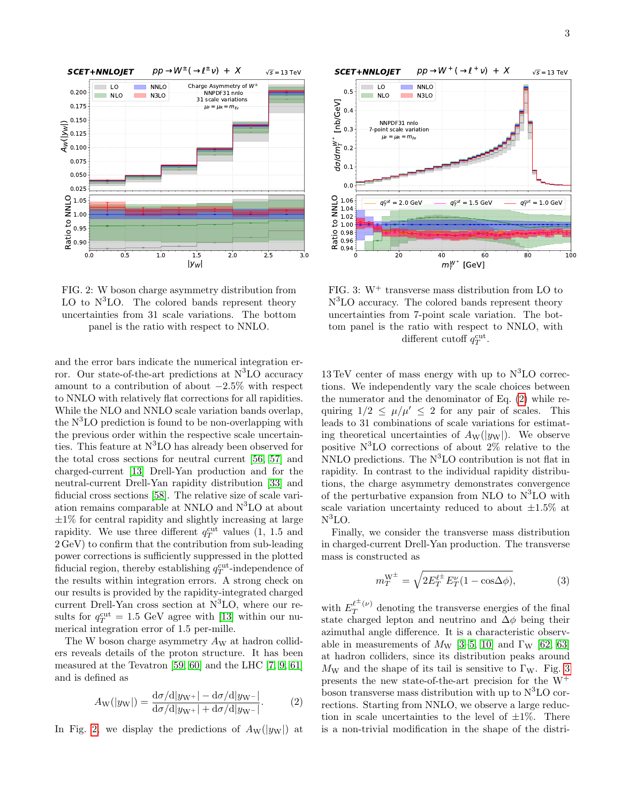<span id="page-2-0"></span>

FIG. 2: W boson charge asymmetry distribution from LO to  $N^3LO$ . The colored bands represent theory uncertainties from 31 scale variations. The bottom panel is the ratio with respect to NNLO.

and the error bars indicate the numerical integration error. Our state-of-the-art predictions at  $N<sup>3</sup>LO$  accuracy amount to a contribution of about −2.5% with respect to NNLO with relatively flat corrections for all rapidities. While the NLO and NNLO scale variation bands overlap, the  $N<sup>3</sup>LO$  prediction is found to be non-overlapping with the previous order within the respective scale uncertainties. This feature at  $N<sup>3</sup>$ LO has already been observed for the total cross sections for neutral current [\[56,](#page-5-17) [57\]](#page-5-18) and charged-current [\[13\]](#page-4-12) Drell-Yan production and for the neutral-current Drell-Yan rapidity distribution [\[33\]](#page-5-0) and fiducial cross sections [\[58\]](#page-5-19). The relative size of scale variation remains comparable at NNLO and  $N<sup>3</sup>LO$  at about  $\pm 1\%$  for central rapidity and slightly increasing at large rapidity. We use three different  $q_T^{\text{cut}}$  values (1, 1.5 and 2 GeV) to confirm that the contribution from sub-leading power corrections is sufficiently suppressed in the plotted fiducial region, thereby establishing  $q_T^{\text{cut}}$ -independence of the results within integration errors. A strong check on our results is provided by the rapidity-integrated charged current Drell-Yan cross section at  $N<sup>3</sup>LO$ , where our results for  $q_T^{\text{cut}} = 1.5 \text{ GeV}$  agree with [\[13\]](#page-4-12) within our numerical integration error of 1.5 per-mille.

The W boson charge asymmetry  $A_W$  at hadron colliders reveals details of the proton structure. It has been measured at the Tevatron [\[59,](#page-5-20) [60\]](#page-5-21) and the LHC [\[7,](#page-4-24) [9,](#page-4-8) [61\]](#page-5-22) and is defined as

<span id="page-2-1"></span>
$$
A_{\rm W}(|y_{\rm W}|) = \frac{\mathrm{d}\sigma/\mathrm{d}|y_{\rm W+}| - \mathrm{d}\sigma/\mathrm{d}|y_{\rm W-}|}{\mathrm{d}\sigma/\mathrm{d}|y_{\rm W+}| + \mathrm{d}\sigma/\mathrm{d}|y_{\rm W-}|}.
$$
 (2)

In Fig. [2,](#page-2-0) we display the predictions of  $A_W(|y_W|)$  at

<span id="page-2-2"></span>

FIG. 3:  $W^+$  transverse mass distribution from LO to N<sup>3</sup>LO accuracy. The colored bands represent theory uncertainties from 7-point scale variation. The bottom panel is the ratio with respect to NNLO, with different cutoff  $q_T^{\text{cut}}$ .

 $13 \text{ TeV}$  center of mass energy with up to  $\mathrm{N}^3\mathrm{LO}$  corrections. We independently vary the scale choices between the numerator and the denominator of Eq. [\(2\)](#page-2-1) while requiring  $1/2 \le \mu/\mu' \le 2$  for any pair of scales. This leads to 31 combinations of scale variations for estimating theoretical uncertainties of  $A_W(|y_W|)$ . We observe positive  $N^3LO$  corrections of about  $2\%$  relative to the NNLO predictions. The  $N^3LO$  contribution is not flat in rapidity. In contrast to the individual rapidity distributions, the charge asymmetry demonstrates convergence of the perturbative expansion from NLO to  $N^3LO$  with scale variation uncertainty reduced to about  $\pm 1.5\%$  at  $\mathrm{N}^3\mathrm{LO}.$ 

Finally, we consider the transverse mass distribution in charged-current Drell-Yan production. The transverse mass is constructed as

$$
m_T^{\mathcal{W}^\pm} = \sqrt{2E_T^{\ell^\pm} E_T^{\nu} (1 - \cos \Delta \phi)},\tag{3}
$$

with  $E_T^{\ell^{\pm}(\nu)}$  $T^{(\nu)}$  denoting the transverse energies of the final state charged lepton and neutrino and  $\Delta \phi$  being their azimuthal angle difference. It is a characteristic observable in measurements of  $M_W$  [\[3–](#page-4-25)[5,](#page-4-26) [10\]](#page-4-9) and  $\Gamma_W$  [\[62,](#page-5-23) [63\]](#page-5-24) at hadron colliders, since its distribution peaks around  $M_W$  and the shape of its tail is sensitive to  $\Gamma_W$ . Fig. [3](#page-2-2) presents the new state-of-the-art precision for the  $W^+$ boson transverse mass distribution with up to  $N<sup>3</sup>LO$  corrections. Starting from NNLO, we observe a large reduction in scale uncertainties to the level of  $\pm 1\%$ . There is a non-trivial modification in the shape of the distri-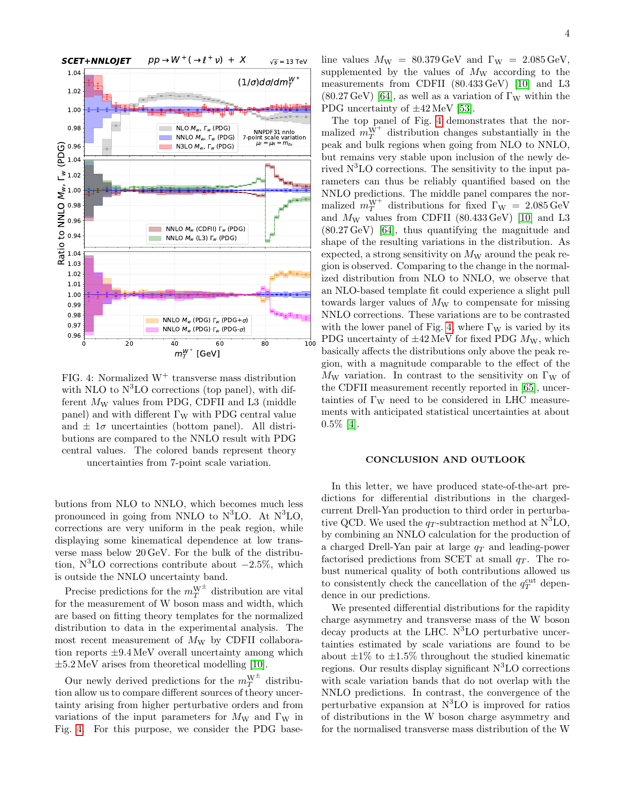<span id="page-3-0"></span>

FIG. 4: Normalized  $W^+$  transverse mass distribution with NLO to  $N^3LO$  corrections (top panel), with different  $M_W$  values from PDG, CDFII and L3 (middle panel) and with different  $\Gamma_W$  with PDG central value and  $\pm 1\sigma$  uncertainties (bottom panel). All distributions are compared to the NNLO result with PDG central values. The colored bands represent theory uncertainties from 7-point scale variation.

butions from NLO to NNLO, which becomes much less pronounced in going from NNLO to  $N<sup>3</sup>LO$ . At  $N<sup>3</sup>LO$ , corrections are very uniform in the peak region, while displaying some kinematical dependence at low transverse mass below 20 GeV. For the bulk of the distribution,  $N^3LO$  corrections contribute about  $-2.5\%$ , which is outside the NNLO uncertainty band.

Precise predictions for the  $m_T^{\text{W}^\pm}$  distribution are vital for the measurement of W boson mass and width, which are based on fitting theory templates for the normalized distribution to data in the experimental analysis. The most recent measurement of  $M_W$  by CDFII collaboration reports ±9.4 MeV overall uncertainty among which  $\pm 5.2 \,\text{MeV}$  arises from theoretical modelling [\[10\]](#page-4-9).

Our newly derived predictions for the  $m_T^{\text{W}^\pm}$  distribution allow us to compare different sources of theory uncertainty arising from higher perturbative orders and from variations of the input parameters for  $M_W$  and  $\Gamma_W$  in Fig. [4.](#page-3-0) For this purpose, we consider the PDG baseline values  $M_{\rm W}$  = 80.379 GeV and  $\Gamma_{\rm W}$  = 2.085 GeV, supplemented by the values of  $M_W$  according to the measurements from CDFII (80.433 GeV) [\[10\]](#page-4-9) and L3  $(80.27 \,\text{GeV})$  [\[64\]](#page-5-25), as well as a variation of  $\Gamma_W$  within the PDG uncertainty of  $\pm 42$  MeV [\[53\]](#page-5-14).

The top panel of Fig. [4](#page-3-0) demonstrates that the normalized  $m_T^{\hat{W}^+}$  distribution changes substantially in the peak and bulk regions when going from NLO to NNLO, but remains very stable upon inclusion of the newly derived  $N<sup>3</sup>LO$  corrections. The sensitivity to the input parameters can thus be reliably quantified based on the NNLO predictions. The middle panel compares the normalized  $m_T^{\text{W}^+}$  distributions for fixed  $\Gamma_{\text{W}} = 2.085 \,\text{GeV}$ and  $M_W$  values from CDFII (80.433 GeV) [\[10\]](#page-4-9) and L3 (80.27 GeV) [\[64\]](#page-5-25), thus quantifying the magnitude and shape of the resulting variations in the distribution. As expected, a strong sensitivity on  $M_W$  around the peak region is observed. Comparing to the change in the normalized distribution from NLO to NNLO, we observe that an NLO-based template fit could experience a slight pull towards larger values of  $M_W$  to compensate for missing NNLO corrections. These variations are to be contrasted with the lower panel of Fig. [4,](#page-3-0) where  $\Gamma_W$  is varied by its PDG uncertainty of  $\pm 42$  MeV for fixed PDG  $M_{\rm W}$ , which basically affects the distributions only above the peak region, with a magnitude comparable to the effect of the  $M_W$  variation. In contrast to the sensitivity on  $\Gamma_W$  of the CDFII measurement recently reported in [\[65\]](#page-5-26), uncertainties of  $\Gamma_W$  need to be considered in LHC measurements with anticipated statistical uncertainties at about 0.5% [\[4\]](#page-4-27).

## CONCLUSION AND OUTLOOK

In this letter, we have produced state-of-the-art predictions for differential distributions in the chargedcurrent Drell-Yan production to third order in perturbative QCD. We used the  $q_T$ -subtraction method at N<sup>3</sup>LO, by combining an NNLO calculation for the production of a charged Drell-Yan pair at large  $q_T$  and leading-power factorised predictions from SCET at small  $q_T$ . The robust numerical quality of both contributions allowed us to consistently check the cancellation of the  $q_T^{\text{cut}}$  dependence in our predictions.

We presented differential distributions for the rapidity charge asymmetry and transverse mass of the W boson decay products at the LHC.  $N<sup>3</sup>LO$  perturbative uncertainties estimated by scale variations are found to be about  $\pm 1\%$  to  $\pm 1.5\%$  throughout the studied kinematic regions. Our results display significant  $N<sup>3</sup>LO$  corrections with scale variation bands that do not overlap with the NNLO predictions. In contrast, the convergence of the perturbative expansion at  $N<sup>3</sup>LO$  is improved for ratios of distributions in the W boson charge asymmetry and for the normalised transverse mass distribution of the W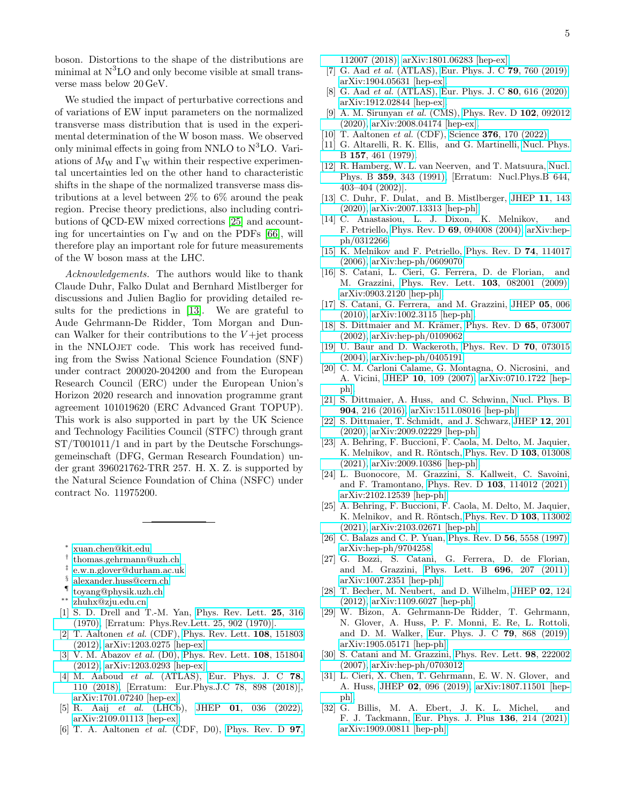boson. Distortions to the shape of the distributions are minimal at  $N<sup>3</sup>LO$  and only become visible at small transverse mass below 20 GeV.

We studied the impact of perturbative corrections and of variations of EW input parameters on the normalized transverse mass distribution that is used in the experimental determination of the W boson mass. We observed only minimal effects in going from NNLO to  $N<sup>3</sup>LO$ . Variations of  $M_W$  and  $\Gamma_W$  within their respective experimental uncertainties led on the other hand to characteristic shifts in the shape of the normalized transverse mass distributions at a level between 2% to 6% around the peak region. Precise theory predictions, also including contributions of QCD-EW mixed corrections [\[25\]](#page-4-18) and accounting for uncertainties on  $\Gamma_W$  and on the PDFs [\[66\]](#page-5-27), will therefore play an important role for future measurements of the W boson mass at the LHC.

Acknowledgements. The authors would like to thank Claude Duhr, Falko Dulat and Bernhard Mistlberger for discussions and Julien Baglio for providing detailed results for the predictions in [\[13\]](#page-4-12). We are grateful to Aude Gehrmann-De Ridder, Tom Morgan and Duncan Walker for their contributions to the  $V +$ jet process in the NNLOJET code. This work has received funding from the Swiss National Science Foundation (SNF) under contract 200020-204200 and from the European Research Council (ERC) under the European Union's Horizon 2020 research and innovation programme grant agreement 101019620 (ERC Advanced Grant TOPUP). This work is also supported in part by the UK Science and Technology Facilities Council (STFC) through grant ST/T001011/1 and in part by the Deutsche Forschungsgemeinschaft (DFG, German Research Foundation) under grant 396021762-TRR 257. H. X. Z. is supported by the Natural Science Foundation of China (NSFC) under contract No. 11975200.

<span id="page-4-0"></span>∗ [xuan.chen@kit.edu](mailto:xuan.chen@kit.edu)

- <span id="page-4-1"></span>† [thomas.gehrmann@uzh.ch](mailto:thomas.gehrmann@uzh.ch)
- <span id="page-4-2"></span>‡ [e.w.n.glover@durham.ac.uk](mailto:e.w.n.glover@durham.ac.uk)
- <span id="page-4-3"></span>§ [alexander.huss@cern.ch](mailto:alexander.huss@cern.ch)
- <span id="page-4-4"></span>¶ [toyang@physik.uzh.ch](mailto:toyang@physik.uzh.ch)
- <span id="page-4-5"></span>∗∗ [zhuhx@zju.edu.cn](mailto:zhuhx@zju.edu.cn)
- <span id="page-4-6"></span>[1] S. D. Drell and T.-M. Yan, [Phys. Rev. Lett.](http://dx.doi.org/10.1103/PhysRevLett.25.316) 25, 316 [\(1970\),](http://dx.doi.org/10.1103/PhysRevLett.25.316) [Erratum: Phys.Rev.Lett. 25, 902 (1970)].
- <span id="page-4-7"></span>[2] T. Aaltonen et al. (CDF), [Phys. Rev. Lett.](http://dx.doi.org/10.1103/PhysRevLett.108.151803) 108, 151803 [\(2012\),](http://dx.doi.org/10.1103/PhysRevLett.108.151803) [arXiv:1203.0275 \[hep-ex\].](http://arxiv.org/abs/1203.0275)
- <span id="page-4-25"></span>[3] V. M. Abazov et al. (D0), [Phys. Rev. Lett.](http://dx.doi.org/ 10.1103/PhysRevLett.108.151804) **108**, 151804 [\(2012\),](http://dx.doi.org/ 10.1103/PhysRevLett.108.151804) [arXiv:1203.0293 \[hep-ex\].](http://arxiv.org/abs/1203.0293)
- <span id="page-4-27"></span>[4] M. Aaboud *et al.* (ATLAS), [Eur. Phys. J. C](http://dx.doi.org/10.1140/epjc/s10052-017-5475-4) 78, [110 \(2018\),](http://dx.doi.org/10.1140/epjc/s10052-017-5475-4) [Erratum: Eur.Phys.J.C 78, 898 (2018)], [arXiv:1701.07240 \[hep-ex\].](http://arxiv.org/abs/1701.07240)
- <span id="page-4-26"></span>[5] R. Aaij et al. (LHCb), JHEP 01[, 036 \(2022\),](http://dx.doi.org/ 10.1007/JHEP01(2022)036) [arXiv:2109.01113 \[hep-ex\].](http://arxiv.org/abs/2109.01113)
- [6] T. A. Aaltonen et al. (CDF, D0), [Phys. Rev. D](http://dx.doi.org/10.1103/PhysRevD.97.112007) 97,

[112007 \(2018\),](http://dx.doi.org/10.1103/PhysRevD.97.112007) [arXiv:1801.06283 \[hep-ex\].](http://arxiv.org/abs/1801.06283)

- <span id="page-4-24"></span>[7] G. Aad *et al.* (ATLAS), [Eur. Phys. J. C](http://dx.doi.org/ 10.1140/epjc/s10052-019-7199-0) **79**, 760 (2019), [arXiv:1904.05631 \[hep-ex\].](http://arxiv.org/abs/1904.05631)
- [8] G. Aad et al. (ATLAS), [Eur. Phys. J. C](http://dx.doi.org/ 10.1140/epjc/s10052-020-8001-z) 80, 616 (2020), [arXiv:1912.02844 \[hep-ex\].](http://arxiv.org/abs/1912.02844)
- <span id="page-4-8"></span>[9] A. M. Sirunyan et al. (CMS), [Phys. Rev. D](http://dx.doi.org/10.1103/PhysRevD.102.092012) 102, 092012 [\(2020\),](http://dx.doi.org/10.1103/PhysRevD.102.092012) [arXiv:2008.04174 \[hep-ex\].](http://arxiv.org/abs/2008.04174)
- <span id="page-4-9"></span>[10] T. Aaltonen *et al.* (CDF), Science **376**[, 170 \(2022\).](http://dx.doi.org/10.1126/science.abk1781)
- <span id="page-4-10"></span>[11] G. Altarelli, R. K. Ellis, and G. Martinelli, [Nucl. Phys.](http://dx.doi.org/10.1016/0550-3213(79)90116-0) B 157[, 461 \(1979\).](http://dx.doi.org/10.1016/0550-3213(79)90116-0)
- <span id="page-4-11"></span>[12] R. Hamberg, W. L. van Neerven, and T. Matsuura, [Nucl.](http://dx.doi.org/10.1016/0550-3213(91)90064-5) Phys. B 359[, 343 \(1991\),](http://dx.doi.org/10.1016/0550-3213(91)90064-5) [Erratum: Nucl.Phys.B 644, 403–404 (2002)].
- <span id="page-4-12"></span>[13] C. Duhr, F. Dulat, and B. Mistlberger, [JHEP](http://dx.doi.org/10.1007/JHEP11(2020)143) 11, 143 [\(2020\),](http://dx.doi.org/10.1007/JHEP11(2020)143) [arXiv:2007.13313 \[hep-ph\].](http://arxiv.org/abs/2007.13313)
- <span id="page-4-13"></span>[14] C. Anastasiou, L. J. Dixon, K. Melnikov, and F. Petriello, Phys. Rev. D 69[, 094008 \(2004\),](http://dx.doi.org/10.1103/PhysRevD.69.094008) [arXiv:hep](http://arxiv.org/abs/hep-ph/0312266)[ph/0312266.](http://arxiv.org/abs/hep-ph/0312266)
- [15] K. Melnikov and F. Petriello, [Phys. Rev. D](http://dx.doi.org/10.1103/PhysRevD.74.114017) 74, 114017 [\(2006\),](http://dx.doi.org/10.1103/PhysRevD.74.114017) [arXiv:hep-ph/0609070.](http://arxiv.org/abs/hep-ph/0609070)
- [16] S. Catani, L. Cieri, G. Ferrera, D. de Florian, and M. Grazzini, [Phys. Rev. Lett.](http://dx.doi.org/ 10.1103/PhysRevLett.103.082001) 103, 082001 (2009), [arXiv:0903.2120 \[hep-ph\].](http://arxiv.org/abs/0903.2120)
- <span id="page-4-14"></span>[17] S. Catani, G. Ferrera, and M. Grazzini, [JHEP](http://dx.doi.org/10.1007/JHEP05(2010)006) 05, 006 [\(2010\),](http://dx.doi.org/10.1007/JHEP05(2010)006) [arXiv:1002.3115 \[hep-ph\].](http://arxiv.org/abs/1002.3115)
- <span id="page-4-15"></span>[18] S. Dittmaier and M. Krämer, [Phys. Rev. D](http://dx.doi.org/10.1103/PhysRevD.65.073007) 65, 073007 [\(2002\),](http://dx.doi.org/10.1103/PhysRevD.65.073007) [arXiv:hep-ph/0109062.](http://arxiv.org/abs/hep-ph/0109062)
- [19] U. Baur and D. Wackeroth, [Phys. Rev. D](http://dx.doi.org/10.1103/PhysRevD.70.073015) 70, 073015 [\(2004\),](http://dx.doi.org/10.1103/PhysRevD.70.073015) [arXiv:hep-ph/0405191.](http://arxiv.org/abs/hep-ph/0405191)
- <span id="page-4-16"></span>[20] C. M. Carloni Calame, G. Montagna, O. Nicrosini, and A. Vicini, JHEP 10[, 109 \(2007\),](http://dx.doi.org/10.1088/1126-6708/2007/10/109) [arXiv:0710.1722 \[hep](http://arxiv.org/abs/0710.1722)[ph\].](http://arxiv.org/abs/0710.1722)
- <span id="page-4-17"></span>[21] S. Dittmaier, A. Huss, and C. Schwinn, [Nucl. Phys. B](http://dx.doi.org/10.1016/j.nuclphysb.2016.01.006) 904[, 216 \(2016\),](http://dx.doi.org/10.1016/j.nuclphysb.2016.01.006) [arXiv:1511.08016 \[hep-ph\].](http://arxiv.org/abs/1511.08016)
- [22] S. Dittmaier, T. Schmidt, and J. Schwarz, [JHEP](http://dx.doi.org/10.1007/JHEP12(2020)201) 12, 201 [\(2020\),](http://dx.doi.org/10.1007/JHEP12(2020)201) [arXiv:2009.02229 \[hep-ph\].](http://arxiv.org/abs/2009.02229)
- [23] A. Behring, F. Buccioni, F. Caola, M. Delto, M. Jaquier, K. Melnikov, and R. Röntsch, [Phys. Rev. D](http://dx.doi.org/ 10.1103/PhysRevD.103.013008) 103, 013008 [\(2021\),](http://dx.doi.org/ 10.1103/PhysRevD.103.013008) [arXiv:2009.10386 \[hep-ph\].](http://arxiv.org/abs/2009.10386)
- [24] L. Buonocore, M. Grazzini, S. Kallweit, C. Savoini, and F. Tramontano, Phys. Rev. D 103[, 114012 \(2021\),](http://dx.doi.org/ 10.1103/PhysRevD.103.114012) [arXiv:2102.12539 \[hep-ph\].](http://arxiv.org/abs/2102.12539)
- <span id="page-4-18"></span>[25] A. Behring, F. Buccioni, F. Caola, M. Delto, M. Jaquier, K. Melnikov, and R. Röntsch, [Phys. Rev. D](http://dx.doi.org/ 10.1103/PhysRevD.103.113002) 103, 113002 [\(2021\),](http://dx.doi.org/ 10.1103/PhysRevD.103.113002) [arXiv:2103.02671 \[hep-ph\].](http://arxiv.org/abs/2103.02671)
- <span id="page-4-19"></span>[26] C. Balazs and C. P. Yuan, [Phys. Rev. D](http://dx.doi.org/10.1103/PhysRevD.56.5558) **56**, 5558 (1997), [arXiv:hep-ph/9704258.](http://arxiv.org/abs/hep-ph/9704258)
- [27] G. Bozzi, S. Catani, G. Ferrera, D. de Florian, and M. Grazzini, [Phys. Lett. B](http://dx.doi.org/ 10.1016/j.physletb.2010.12.024) 696, 207 (2011), [arXiv:1007.2351 \[hep-ph\].](http://arxiv.org/abs/1007.2351)
- [28] T. Becher, M. Neubert, and D. Wilhelm, [JHEP](http://dx.doi.org/10.1007/JHEP02(2012)124) 02, 124 [\(2012\),](http://dx.doi.org/10.1007/JHEP02(2012)124) [arXiv:1109.6027 \[hep-ph\].](http://arxiv.org/abs/1109.6027)
- <span id="page-4-20"></span>[29] W. Bizon, A. Gehrmann-De Ridder, T. Gehrmann, N. Glover, A. Huss, P. F. Monni, E. Re, L. Rottoli, and D. M. Walker, [Eur. Phys. J. C](http://dx.doi.org/ 10.1140/epjc/s10052-019-7324-0) 79, 868 (2019), [arXiv:1905.05171 \[hep-ph\].](http://arxiv.org/abs/1905.05171)
- <span id="page-4-21"></span>[30] S. Catani and M. Grazzini, [Phys. Rev. Lett.](http://dx.doi.org/10.1103/PhysRevLett.98.222002) 98, 222002 [\(2007\),](http://dx.doi.org/10.1103/PhysRevLett.98.222002) [arXiv:hep-ph/0703012.](http://arxiv.org/abs/hep-ph/0703012)
- <span id="page-4-22"></span>[31] L. Cieri, X. Chen, T. Gehrmann, E. W. N. Glover, and A. Huss, JHEP 02[, 096 \(2019\),](http://dx.doi.org/ 10.1007/JHEP02(2019)096) [arXiv:1807.11501 \[hep](http://arxiv.org/abs/1807.11501)[ph\].](http://arxiv.org/abs/1807.11501)
- <span id="page-4-23"></span>[32] G. Billis, M. A. Ebert, J. K. L. Michel, and F. J. Tackmann, [Eur. Phys. J. Plus](http://dx.doi.org/10.1140/epjp/s13360-021-01155-y) 136, 214 (2021), [arXiv:1909.00811 \[hep-ph\].](http://arxiv.org/abs/1909.00811)